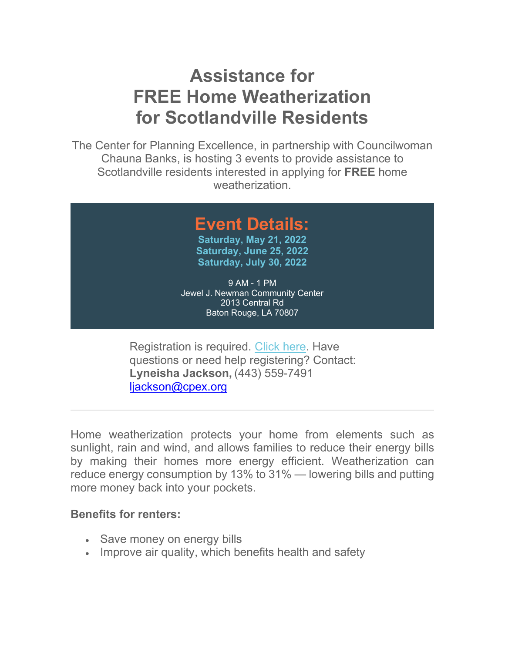## **Assistance for FREE Home Weatherization for Scotlandville Residents**

The Center for Planning Excellence, in partnership with Councilwoman Chauna Banks, is hosting 3 events to provide assistance to Scotlandville residents interested in applying for **FREE** home weatherization.

## **Event Details:**

**[Saturday, May 21, 2022](https://protect-us.mimecast.com/s/ge8yCL9mzMtNXxLFqVtC0?domain=eventbrite.com) [Saturday, June 25, 2022](https://protect-us.mimecast.com/s/HFcPCM8nAOfx9KjFJnpZv?domain=eventbrite.com) [Saturday, July 30, 2022](https://protect-us.mimecast.com/s/z3rxCNkoBQtV9KoURQ9Dm?domain=eventbrite.com)**

9 AM - 1 PM Jewel J. Newman Community Center 2013 Central Rd Baton Rouge, LA 70807

Registration is required. [Click](https://protect-us.mimecast.com/s/ZRBOCOYpDVf5wV3FPiEXb?domain=cpex.org) here. Have questions or need help registering? Contact: **Lyneisha Jackson,** (443) 559-7491 liackson@cpex.org

Home weatherization protects your home from elements such as sunlight, rain and wind, and allows families to reduce their energy bills by making their homes more energy efficient. Weatherization can reduce energy consumption by 13% to 31% — lowering bills and putting more money back into your pockets.

## **Benefits for renters:**

- Save money on energy bills
- Improve air quality, which benefits health and safety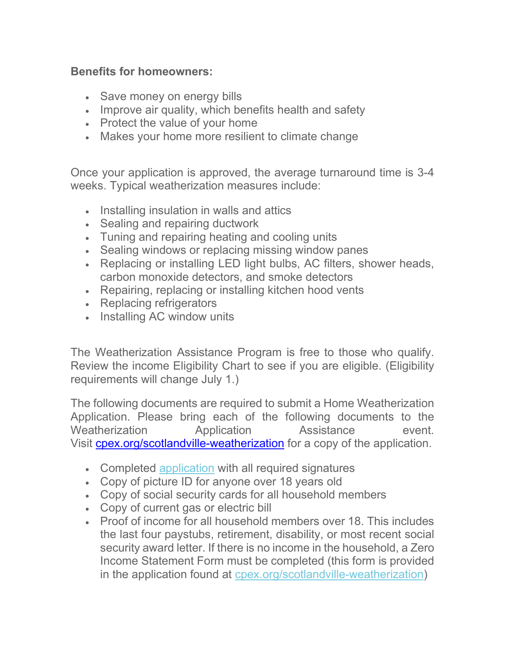## **Benefits for homeowners:**

- Save money on energy bills
- Improve air quality, which benefits health and safety
- Protect the value of your home
- Makes your home more resilient to climate change

Once your application is approved, the average turnaround time is 3-4 weeks. Typical weatherization measures include:

- Installing insulation in walls and attics
- Sealing and repairing ductwork
- Tuning and repairing heating and cooling units
- Sealing windows or replacing missing window panes
- Replacing or installing LED light bulbs, AC filters, shower heads, carbon monoxide detectors, and smoke detectors
- Repairing, replacing or installing kitchen hood vents
- Replacing refrigerators
- Installing AC window units

The Weatherization Assistance Program is free to those who qualify. Review the income Eligibility Chart to see if you are eligible. (Eligibility requirements will change July 1.)

The following documents are required to submit a Home Weatherization Application. Please bring each of the following documents to the Weatherization **Application** Assistance event. Visit [cpex.org/scotlandville-weatherization](https://protect-us.mimecast.com/s/1NR2C31mXBF7x1ZuPuCbH?domain=cpex.org) for a copy of the application.

- Completed [application](https://protect-us.mimecast.com/s/8V7ZCQWrGZFB9G7F9szX7?domain=static1.squarespace.com) with all required signatures
- Copy of picture ID for anyone over 18 years old
- Copy of social security cards for all household members
- Copy of current gas or electric bill
- Proof of income for all household members over 18. This includes the last four paystubs, retirement, disability, or most recent social security award letter. If there is no income in the household, a Zero Income Statement Form must be completed (this form is provided in the application found at [cpex.org/scotlandville-weatherization\)](https://protect-us.mimecast.com/s/1NR2C31mXBF7x1ZuPuCbH?domain=cpex.org)